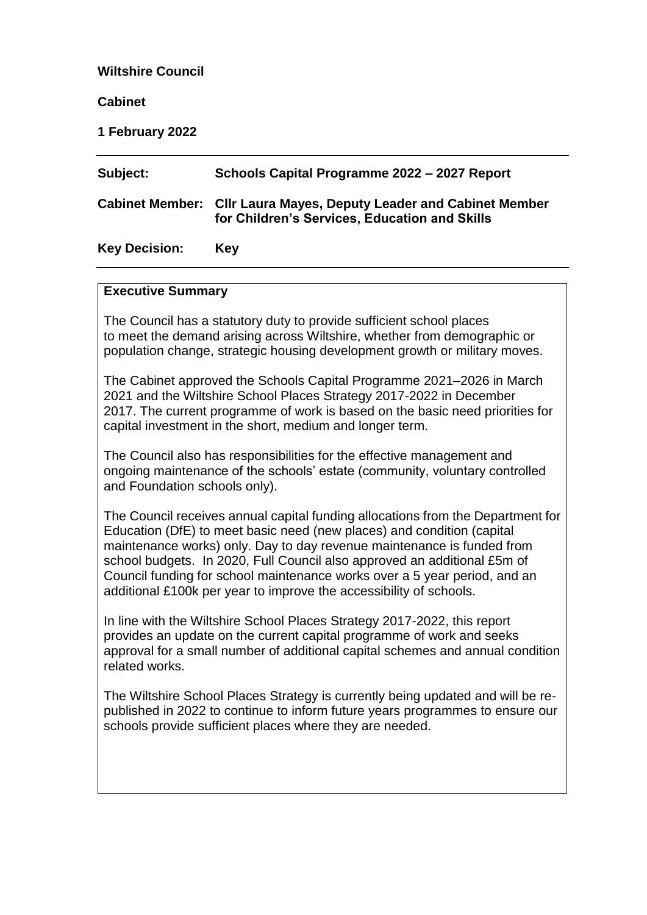## **Wiltshire Council**

**Cabinet**

**1 February 2022**

| Subject:             | Schools Capital Programme 2022 - 2027 Report                                                                        |
|----------------------|---------------------------------------------------------------------------------------------------------------------|
|                      | Cabinet Member: Cllr Laura Mayes, Deputy Leader and Cabinet Member<br>for Children's Services, Education and Skills |
| <b>Key Decision:</b> | Key                                                                                                                 |

#### **Executive Summary**

The Council has a statutory duty to provide sufficient school places to meet the demand arising across Wiltshire, whether from demographic or population change, strategic housing development growth or military moves.

The Cabinet approved the Schools Capital Programme 2021–2026 in March 2021 and the Wiltshire School Places Strategy 2017-2022 in December 2017. The current programme of work is based on the basic need priorities for capital investment in the short, medium and longer term.

The Council also has responsibilities for the effective management and ongoing maintenance of the schools' estate (community, voluntary controlled and Foundation schools only).

The Council receives annual capital funding allocations from the Department for Education (DfE) to meet basic need (new places) and condition (capital maintenance works) only. Day to day revenue maintenance is funded from school budgets. In 2020, Full Council also approved an additional £5m of Council funding for school maintenance works over a 5 year period, and an additional £100k per year to improve the accessibility of schools.

In line with the Wiltshire School Places Strategy 2017-2022, this report provides an update on the current capital programme of work and seeks approval for a small number of additional capital schemes and annual condition related works.

The Wiltshire School Places Strategy is currently being updated and will be republished in 2022 to continue to inform future years programmes to ensure our schools provide sufficient places where they are needed.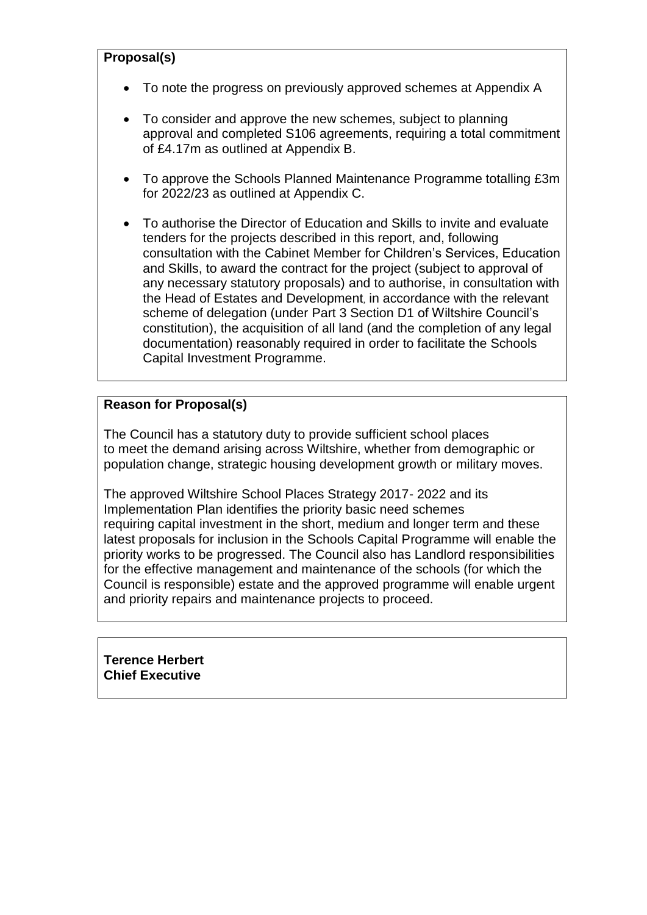## **Proposal(s)**

- To note the progress on previously approved schemes at Appendix A
- To consider and approve the new schemes, subject to planning approval and completed S106 agreements, requiring a total commitment of £4.17m as outlined at Appendix B.
- To approve the Schools Planned Maintenance Programme totalling £3m for 2022/23 as outlined at Appendix C.
- To authorise the Director of Education and Skills to invite and evaluate tenders for the projects described in this report, and, following consultation with the Cabinet Member for Children's Services, Education and Skills, to award the contract for the project (subject to approval of any necessary statutory proposals) and to authorise, in consultation with the Head of Estates and Development, in accordance with the relevant scheme of delegation (under Part 3 Section D1 of Wiltshire Council's constitution), the acquisition of all land (and the completion of any legal documentation) reasonably required in order to facilitate the Schools Capital Investment Programme.

## **Reason for Proposal(s)**

The Council has a statutory duty to provide sufficient school places to meet the demand arising across Wiltshire, whether from demographic or population change, strategic housing development growth or military moves.

The approved Wiltshire School Places Strategy 2017- 2022 and its Implementation Plan identifies the priority basic need schemes requiring capital investment in the short, medium and longer term and these latest proposals for inclusion in the Schools Capital Programme will enable the priority works to be progressed. The Council also has Landlord responsibilities for the effective management and maintenance of the schools (for which the Council is responsible) estate and the approved programme will enable urgent and priority repairs and maintenance projects to proceed.

**Terence Herbert Chief Executive**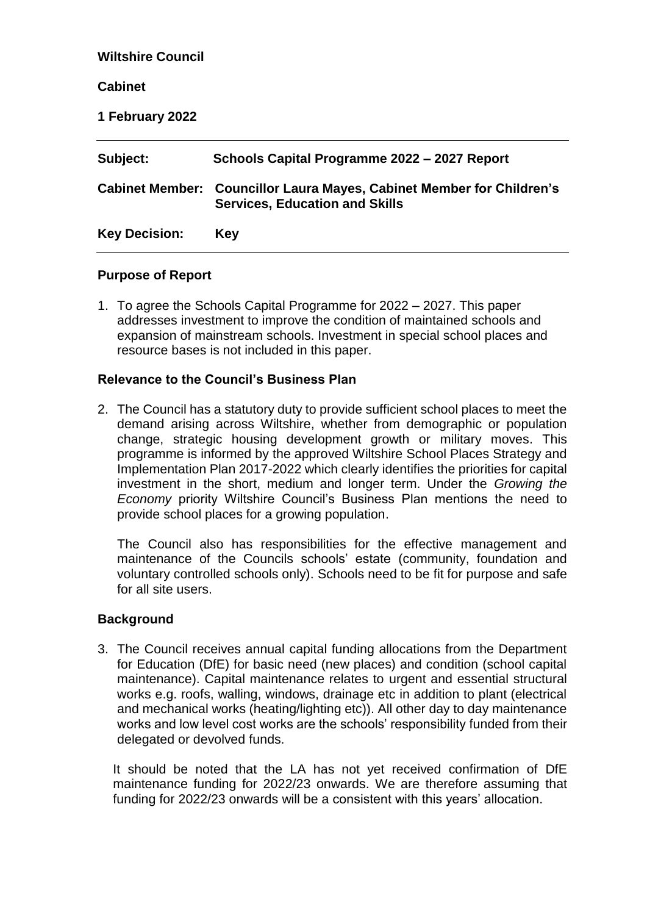| <b>Wiltshire Council</b> |                                                                                                                |
|--------------------------|----------------------------------------------------------------------------------------------------------------|
| <b>Cabinet</b>           |                                                                                                                |
| 1 February 2022          |                                                                                                                |
| Subject:                 | Schools Capital Programme 2022 - 2027 Report                                                                   |
|                          | Cabinet Member: Councillor Laura Mayes, Cabinet Member for Children's<br><b>Services, Education and Skills</b> |
| <b>Key Decision:</b>     | <b>Key</b>                                                                                                     |

#### **Purpose of Report**

1. To agree the Schools Capital Programme for 2022 – 2027. This paper addresses investment to improve the condition of maintained schools and expansion of mainstream schools. Investment in special school places and resource bases is not included in this paper.

#### **Relevance to the Council's Business Plan**

2. The Council has a statutory duty to provide sufficient school places to meet the demand arising across Wiltshire, whether from demographic or population change, strategic housing development growth or military moves. This programme is informed by the approved Wiltshire School Places Strategy and Implementation Plan 2017-2022 which clearly identifies the priorities for capital investment in the short, medium and longer term. Under the *Growing the Economy* priority Wiltshire Council's Business Plan mentions the need to provide school places for a growing population.

The Council also has responsibilities for the effective management and maintenance of the Councils schools' estate (community, foundation and voluntary controlled schools only). Schools need to be fit for purpose and safe for all site users.

#### **Background**

3. The Council receives annual capital funding allocations from the Department for Education (DfE) for basic need (new places) and condition (school capital maintenance). Capital maintenance relates to urgent and essential structural works e.g. roofs, walling, windows, drainage etc in addition to plant (electrical and mechanical works (heating/lighting etc)). All other day to day maintenance works and low level cost works are the schools' responsibility funded from their delegated or devolved funds.

It should be noted that the LA has not yet received confirmation of DfE maintenance funding for 2022/23 onwards. We are therefore assuming that funding for 2022/23 onwards will be a consistent with this years' allocation.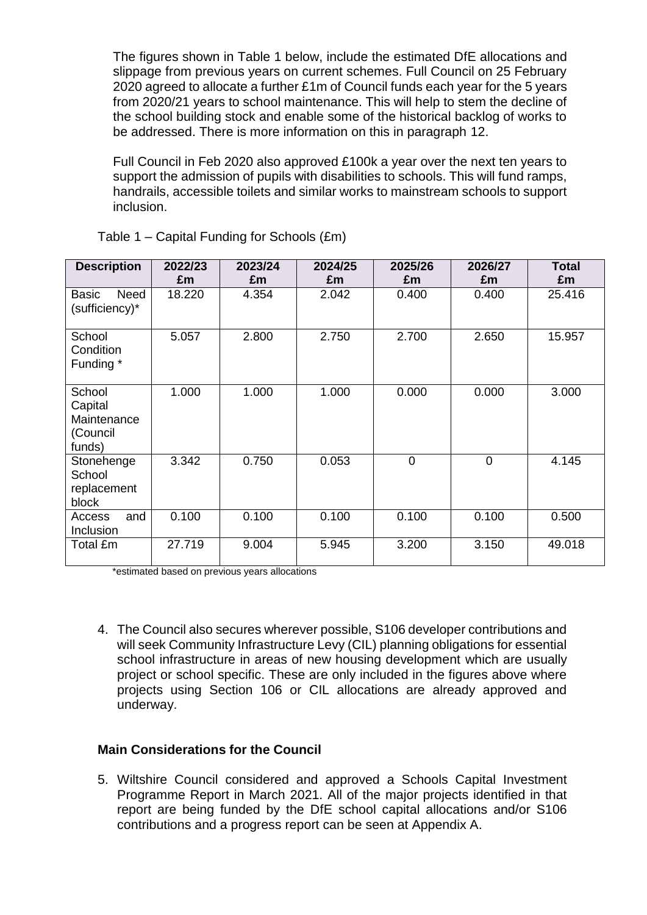The figures shown in Table 1 below, include the estimated DfE allocations and slippage from previous years on current schemes. Full Council on 25 February 2020 agreed to allocate a further £1m of Council funds each year for the 5 years from 2020/21 years to school maintenance. This will help to stem the decline of the school building stock and enable some of the historical backlog of works to be addressed. There is more information on this in paragraph 12.

Full Council in Feb 2020 also approved £100k a year over the next ten years to support the admission of pupils with disabilities to schools. This will fund ramps, handrails, accessible toilets and similar works to mainstream schools to support inclusion.

| <b>Description</b>                                     | 2022/23<br>£m | 2023/24<br>£m | 2024/25<br>£m  | 2025/26<br>£m | 2026/27<br>£m  | <b>Total</b><br>£m |
|--------------------------------------------------------|---------------|---------------|----------------|---------------|----------------|--------------------|
| Need<br>Basic<br>(sufficiency)*                        | 18.220        | 4.354         | 2.042          | 0.400         | 0.400          | 25.416             |
| School<br>Condition<br>Funding *                       | 5.057         | 2.800         | 2.700<br>2.750 |               | 2.650          | 15.957             |
| School<br>Capital<br>Maintenance<br>(Council<br>funds) | 1.000         | 1.000         | 1.000          | 0.000         | 0.000          | 3.000              |
| Stonehenge<br>School<br>replacement<br>block           | 3.342         | 0.750         | 0.053          | $\mathbf 0$   | $\overline{0}$ | 4.145              |
| and<br>Access<br>Inclusion                             | 0.100         | 0.100         | 0.100          | 0.100         | 0.100          | 0.500              |
| Total £m                                               | 27.719        | 9.004         | 5.945          | 3.200         | 3.150          | 49.018             |

Table 1 – Capital Funding for Schools (£m)

\*estimated based on previous years allocations

4. The Council also secures wherever possible, S106 developer contributions and will seek Community Infrastructure Levy (CIL) planning obligations for essential school infrastructure in areas of new housing development which are usually project or school specific. These are only included in the figures above where projects using Section 106 or CIL allocations are already approved and underway.

# **Main Considerations for the Council**

5. Wiltshire Council considered and approved a Schools Capital Investment Programme Report in March 2021. All of the major projects identified in that report are being funded by the DfE school capital allocations and/or S106 contributions and a progress report can be seen at Appendix A.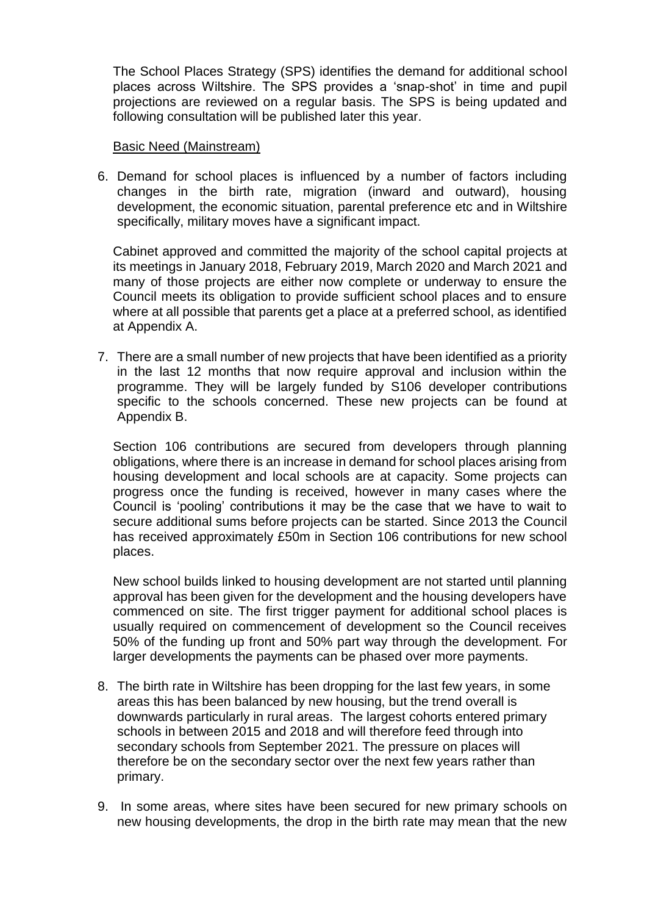The School Places Strategy (SPS) identifies the demand for additional school places across Wiltshire. The SPS provides a 'snap-shot' in time and pupil projections are reviewed on a regular basis. The SPS is being updated and following consultation will be published later this year.

#### Basic Need (Mainstream)

6. Demand for school places is influenced by a number of factors including changes in the birth rate, migration (inward and outward), housing development, the economic situation, parental preference etc and in Wiltshire specifically, military moves have a significant impact.

Cabinet approved and committed the majority of the school capital projects at its meetings in January 2018, February 2019, March 2020 and March 2021 and many of those projects are either now complete or underway to ensure the Council meets its obligation to provide sufficient school places and to ensure where at all possible that parents get a place at a preferred school, as identified at Appendix A.

7. There are a small number of new projects that have been identified as a priority in the last 12 months that now require approval and inclusion within the programme. They will be largely funded by S106 developer contributions specific to the schools concerned. These new projects can be found at Appendix B.

Section 106 contributions are secured from developers through planning obligations, where there is an increase in demand for school places arising from housing development and local schools are at capacity. Some projects can progress once the funding is received, however in many cases where the Council is 'pooling' contributions it may be the case that we have to wait to secure additional sums before projects can be started. Since 2013 the Council has received approximately £50m in Section 106 contributions for new school places.

New school builds linked to housing development are not started until planning approval has been given for the development and the housing developers have commenced on site. The first trigger payment for additional school places is usually required on commencement of development so the Council receives 50% of the funding up front and 50% part way through the development. For larger developments the payments can be phased over more payments.

- 8. The birth rate in Wiltshire has been dropping for the last few years, in some areas this has been balanced by new housing, but the trend overall is downwards particularly in rural areas. The largest cohorts entered primary schools in between 2015 and 2018 and will therefore feed through into secondary schools from September 2021. The pressure on places will therefore be on the secondary sector over the next few years rather than primary.
- 9. In some areas, where sites have been secured for new primary schools on new housing developments, the drop in the birth rate may mean that the new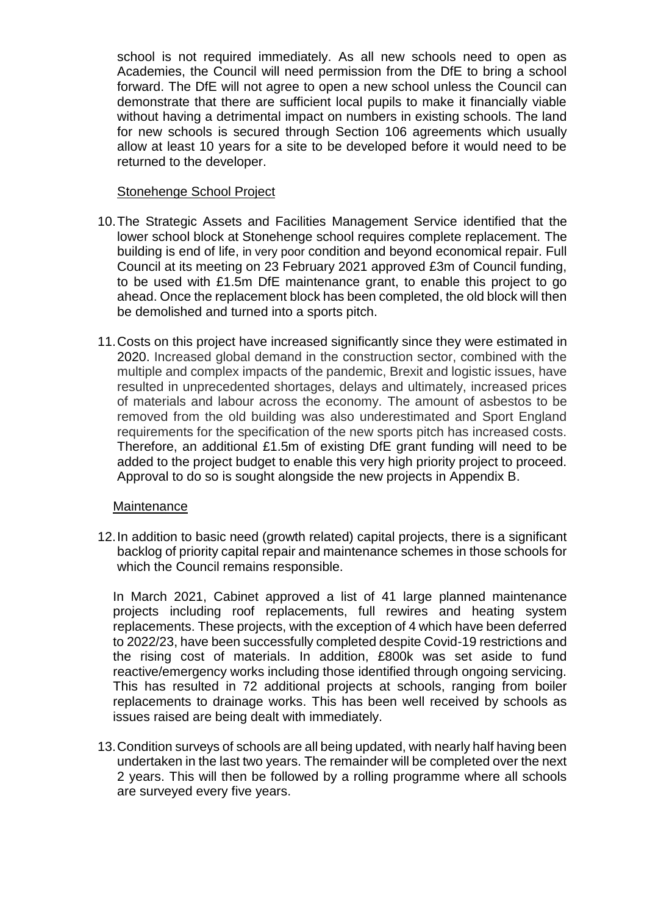school is not required immediately. As all new schools need to open as Academies, the Council will need permission from the DfE to bring a school forward. The DfE will not agree to open a new school unless the Council can demonstrate that there are sufficient local pupils to make it financially viable without having a detrimental impact on numbers in existing schools. The land for new schools is secured through Section 106 agreements which usually allow at least 10 years for a site to be developed before it would need to be returned to the developer.

## Stonehenge School Project

- 10.The Strategic Assets and Facilities Management Service identified that the lower school block at Stonehenge school requires complete replacement. The building is end of life, in very poor condition and beyond economical repair. Full Council at its meeting on 23 February 2021 approved £3m of Council funding, to be used with £1.5m DfE maintenance grant, to enable this project to go ahead. Once the replacement block has been completed, the old block will then be demolished and turned into a sports pitch.
- 11.Costs on this project have increased significantly since they were estimated in 2020. Increased global demand in the construction sector, combined with the multiple and complex impacts of the pandemic, Brexit and logistic issues, have resulted in unprecedented shortages, delays and ultimately, increased prices of materials and labour across the economy. The amount of asbestos to be removed from the old building was also underestimated and Sport England requirements for the specification of the new sports pitch has increased costs. Therefore, an additional £1.5m of existing DfE grant funding will need to be added to the project budget to enable this very high priority project to proceed. Approval to do so is sought alongside the new projects in Appendix B.

## **Maintenance**

12.In addition to basic need (growth related) capital projects, there is a significant backlog of priority capital repair and maintenance schemes in those schools for which the Council remains responsible.

In March 2021, Cabinet approved a list of 41 large planned maintenance projects including roof replacements, full rewires and heating system replacements. These projects, with the exception of 4 which have been deferred to 2022/23, have been successfully completed despite Covid-19 restrictions and the rising cost of materials. In addition, £800k was set aside to fund reactive/emergency works including those identified through ongoing servicing. This has resulted in 72 additional projects at schools, ranging from boiler replacements to drainage works. This has been well received by schools as issues raised are being dealt with immediately.

13.Condition surveys of schools are all being updated, with nearly half having been undertaken in the last two years. The remainder will be completed over the next 2 years. This will then be followed by a rolling programme where all schools are surveyed every five years.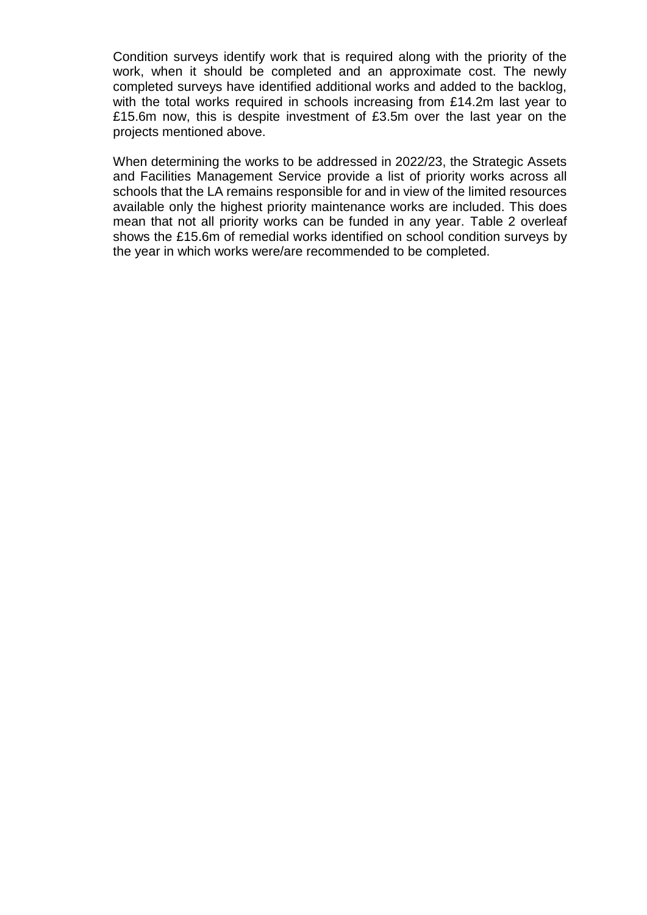Condition surveys identify work that is required along with the priority of the work, when it should be completed and an approximate cost. The newly completed surveys have identified additional works and added to the backlog, with the total works required in schools increasing from £14.2m last year to £15.6m now, this is despite investment of £3.5m over the last year on the projects mentioned above.

When determining the works to be addressed in 2022/23, the Strategic Assets and Facilities Management Service provide a list of priority works across all schools that the LA remains responsible for and in view of the limited resources available only the highest priority maintenance works are included. This does mean that not all priority works can be funded in any year. Table 2 overleaf shows the £15.6m of remedial works identified on school condition surveys by the year in which works were/are recommended to be completed.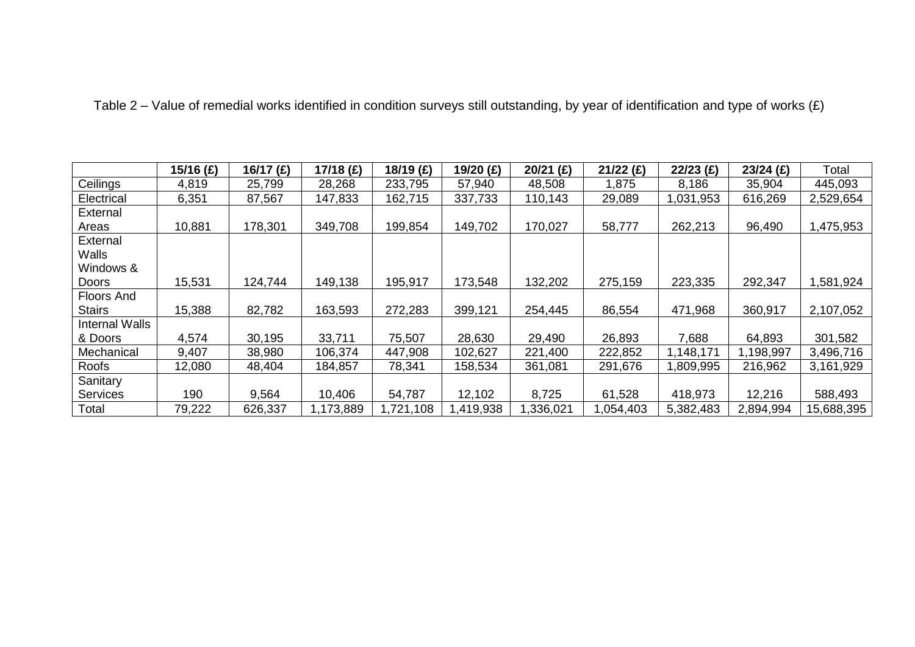| Table 2 – Value of remedial works identified in condition surveys still outstanding, by year of identification and type of works $(E)$ |  |
|----------------------------------------------------------------------------------------------------------------------------------------|--|
|                                                                                                                                        |  |

|                       | 15/16 $(E)$ | 16/17 (£) | 17/18 (£) | 18/19 (£) | 19/20 (£) | $20/21$ (£) | $21/22$ (£) | $22/23$ (£) | $23/24$ (£) | Total      |
|-----------------------|-------------|-----------|-----------|-----------|-----------|-------------|-------------|-------------|-------------|------------|
| Ceilings              | 4,819       | 25,799    | 28,268    | 233,795   | 57,940    | 48,508      | 1,875       | 8,186       | 35,904      | 445,093    |
| Electrical            | 6,351       | 87,567    | 147,833   | 162,715   | 337,733   | 110,143     | 29,089      | 1,031,953   | 616,269     | 2,529,654  |
| External              |             |           |           |           |           |             |             |             |             |            |
| Areas                 | 10,881      | 178,301   | 349,708   | 199,854   | 149,702   | 170,027     | 58,777      | 262,213     | 96,490      | 1,475,953  |
| External              |             |           |           |           |           |             |             |             |             |            |
| <b>Walls</b>          |             |           |           |           |           |             |             |             |             |            |
| Windows &             |             |           |           |           |           |             |             |             |             |            |
| Doors                 | 15,531      | 124,744   | 149,138   | 195,917   | 173,548   | 132,202     | 275,159     | 223,335     | 292,347     | 1,581,924  |
| <b>Floors And</b>     |             |           |           |           |           |             |             |             |             |            |
| <b>Stairs</b>         | 15,388      | 82,782    | 163,593   | 272,283   | 399,121   | 254,445     | 86,554      | 471,968     | 360,917     | 2,107,052  |
| <b>Internal Walls</b> |             |           |           |           |           |             |             |             |             |            |
| & Doors               | 4,574       | 30,195    | 33,711    | 75,507    | 28,630    | 29,490      | 26,893      | 7,688       | 64,893      | 301,582    |
| Mechanical            | 9,407       | 38,980    | 106,374   | 447,908   | 102,627   | 221,400     | 222,852     | 1,148,171   | 1,198,997   | 3,496,716  |
| Roofs                 | 12,080      | 48,404    | 184,857   | 78,341    | 158,534   | 361,081     | 291,676     | 809,995.    | 216,962     | 3,161,929  |
| Sanitary              |             |           |           |           |           |             |             |             |             |            |
| <b>Services</b>       | 190         | 9,564     | 10,406    | 54,787    | 12,102    | 8,725       | 61,528      | 418,973     | 12,216      | 588,493    |
| Total                 | 79,222      | 626,337   | 1,173,889 | ,721,108  | ,419,938  | ,336,021    | ,054,403    | 5,382,483   | 2,894,994   | 15,688,395 |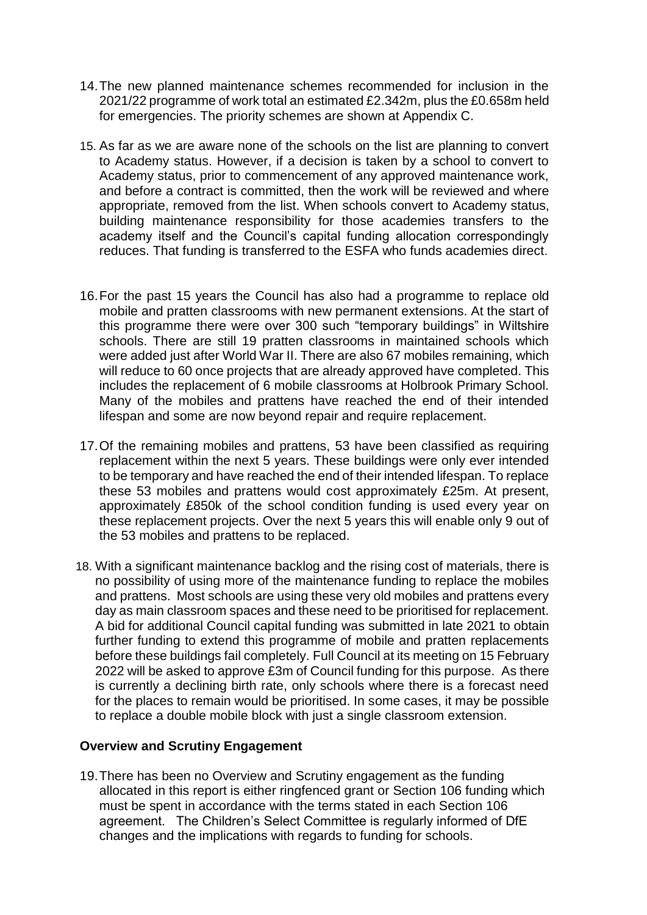- 14.The new planned maintenance schemes recommended for inclusion in the 2021/22 programme of work total an estimated £2.342m, plus the £0.658m held for emergencies. The priority schemes are shown at Appendix C.
- 15. As far as we are aware none of the schools on the list are planning to convert to Academy status. However, if a decision is taken by a school to convert to Academy status, prior to commencement of any approved maintenance work, and before a contract is committed, then the work will be reviewed and where appropriate, removed from the list. When schools convert to Academy status, building maintenance responsibility for those academies transfers to the academy itself and the Council's capital funding allocation correspondingly reduces. That funding is transferred to the ESFA who funds academies direct.
- 16.For the past 15 years the Council has also had a programme to replace old mobile and pratten classrooms with new permanent extensions. At the start of this programme there were over 300 such "temporary buildings" in Wiltshire schools. There are still 19 pratten classrooms in maintained schools which were added just after World War II. There are also 67 mobiles remaining, which will reduce to 60 once projects that are already approved have completed. This includes the replacement of 6 mobile classrooms at Holbrook Primary School. Many of the mobiles and prattens have reached the end of their intended lifespan and some are now beyond repair and require replacement.
- 17.Of the remaining mobiles and prattens, 53 have been classified as requiring replacement within the next 5 years. These buildings were only ever intended to be temporary and have reached the end of their intended lifespan. To replace these 53 mobiles and prattens would cost approximately £25m. At present, approximately £850k of the school condition funding is used every year on these replacement projects. Over the next 5 years this will enable only 9 out of the 53 mobiles and prattens to be replaced.
- 18. With a significant maintenance backlog and the rising cost of materials, there is no possibility of using more of the maintenance funding to replace the mobiles and prattens. Most schools are using these very old mobiles and prattens every day as main classroom spaces and these need to be prioritised for replacement. A bid for additional Council capital funding was submitted in late 2021 to obtain further funding to extend this programme of mobile and pratten replacements before these buildings fail completely. Full Council at its meeting on 15 February 2022 will be asked to approve £3m of Council funding for this purpose. As there is currently a declining birth rate, only schools where there is a forecast need for the places to remain would be prioritised. In some cases, it may be possible to replace a double mobile block with just a single classroom extension.

#### **Overview and Scrutiny Engagement**

19.There has been no Overview and Scrutiny engagement as the funding allocated in this report is either ringfenced grant or Section 106 funding which must be spent in accordance with the terms stated in each Section 106 agreement. The Children's Select Committee is regularly informed of DfE changes and the implications with regards to funding for schools.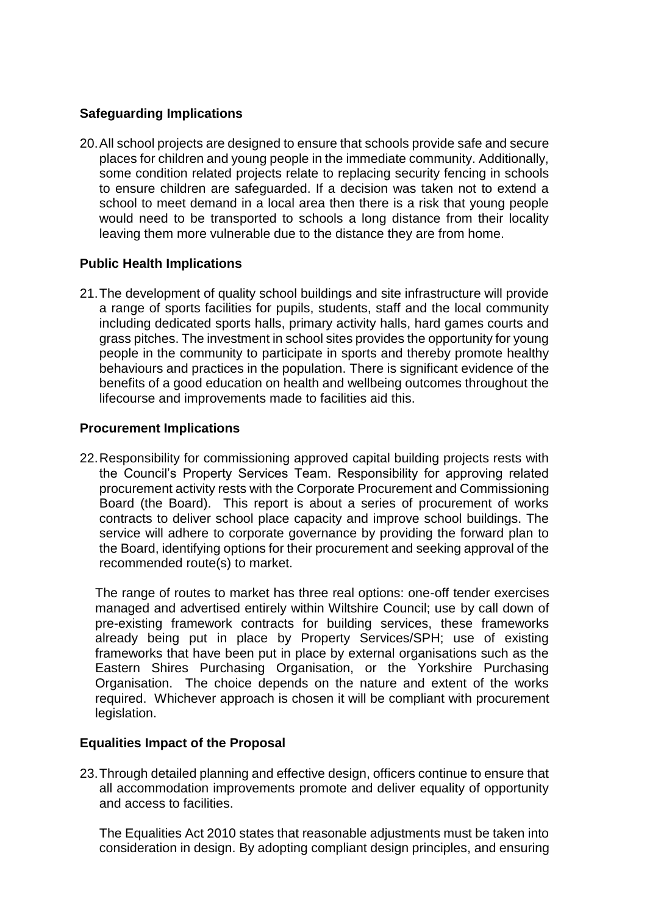# **Safeguarding Implications**

20.All school projects are designed to ensure that schools provide safe and secure places for children and young people in the immediate community. Additionally, some condition related projects relate to replacing security fencing in schools to ensure children are safeguarded. If a decision was taken not to extend a school to meet demand in a local area then there is a risk that young people would need to be transported to schools a long distance from their locality leaving them more vulnerable due to the distance they are from home.

# **Public Health Implications**

21.The development of quality school buildings and site infrastructure will provide a range of sports facilities for pupils, students, staff and the local community including dedicated sports halls, primary activity halls, hard games courts and grass pitches. The investment in school sites provides the opportunity for young people in the community to participate in sports and thereby promote healthy behaviours and practices in the population. There is significant evidence of the benefits of a good education on health and wellbeing outcomes throughout the lifecourse and improvements made to facilities aid this.

## **Procurement Implications**

22.Responsibility for commissioning approved capital building projects rests with the Council's Property Services Team. Responsibility for approving related procurement activity rests with the Corporate Procurement and Commissioning Board (the Board). This report is about a series of procurement of works contracts to deliver school place capacity and improve school buildings. The service will adhere to corporate governance by providing the forward plan to the Board, identifying options for their procurement and seeking approval of the recommended route(s) to market.

The range of routes to market has three real options: one-off tender exercises managed and advertised entirely within Wiltshire Council; use by call down of pre-existing framework contracts for building services, these frameworks already being put in place by Property Services/SPH; use of existing frameworks that have been put in place by external organisations such as the Eastern Shires Purchasing Organisation, or the Yorkshire Purchasing Organisation. The choice depends on the nature and extent of the works required. Whichever approach is chosen it will be compliant with procurement legislation.

# **Equalities Impact of the Proposal**

23.Through detailed planning and effective design, officers continue to ensure that all accommodation improvements promote and deliver equality of opportunity and access to facilities.

The Equalities Act 2010 states that reasonable adjustments must be taken into consideration in design. By adopting compliant design principles, and ensuring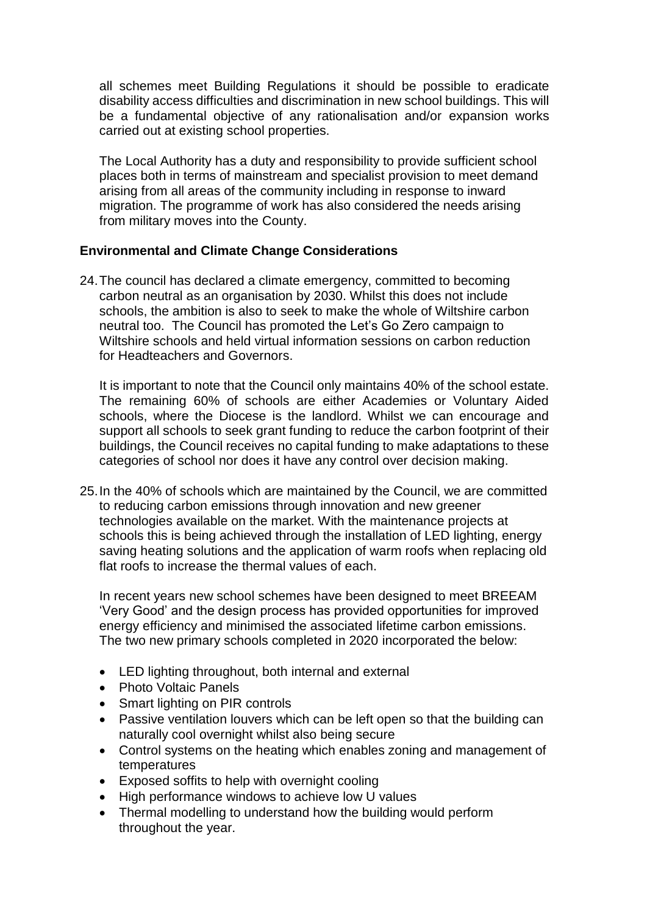all schemes meet Building Regulations it should be possible to eradicate disability access difficulties and discrimination in new school buildings. This will be a fundamental objective of any rationalisation and/or expansion works carried out at existing school properties.

The Local Authority has a duty and responsibility to provide sufficient school places both in terms of mainstream and specialist provision to meet demand arising from all areas of the community including in response to inward migration. The programme of work has also considered the needs arising from military moves into the County.

# **Environmental and Climate Change Considerations**

24.The council has declared a climate emergency, committed to becoming carbon neutral as an organisation by 2030. Whilst this does not include schools, the ambition is also to seek to make the whole of Wiltshire carbon neutral too. The Council has promoted the Let's Go Zero campaign to Wiltshire schools and held virtual information sessions on carbon reduction for Headteachers and Governors.

It is important to note that the Council only maintains 40% of the school estate. The remaining 60% of schools are either Academies or Voluntary Aided schools, where the Diocese is the landlord. Whilst we can encourage and support all schools to seek grant funding to reduce the carbon footprint of their buildings, the Council receives no capital funding to make adaptations to these categories of school nor does it have any control over decision making.

25.In the 40% of schools which are maintained by the Council, we are committed to reducing carbon emissions through innovation and new greener technologies available on the market. With the maintenance projects at schools this is being achieved through the installation of LED lighting, energy saving heating solutions and the application of warm roofs when replacing old flat roofs to increase the thermal values of each.

In recent years new school schemes have been designed to meet BREEAM 'Very Good' and the design process has provided opportunities for improved energy efficiency and minimised the associated lifetime carbon emissions. The two new primary schools completed in 2020 incorporated the below:

- LED lighting throughout, both internal and external
- Photo Voltaic Panels
- Smart lighting on PIR controls
- Passive ventilation louvers which can be left open so that the building can naturally cool overnight whilst also being secure
- Control systems on the heating which enables zoning and management of temperatures
- Exposed soffits to help with overnight cooling
- High performance windows to achieve low U values
- Thermal modelling to understand how the building would perform throughout the year.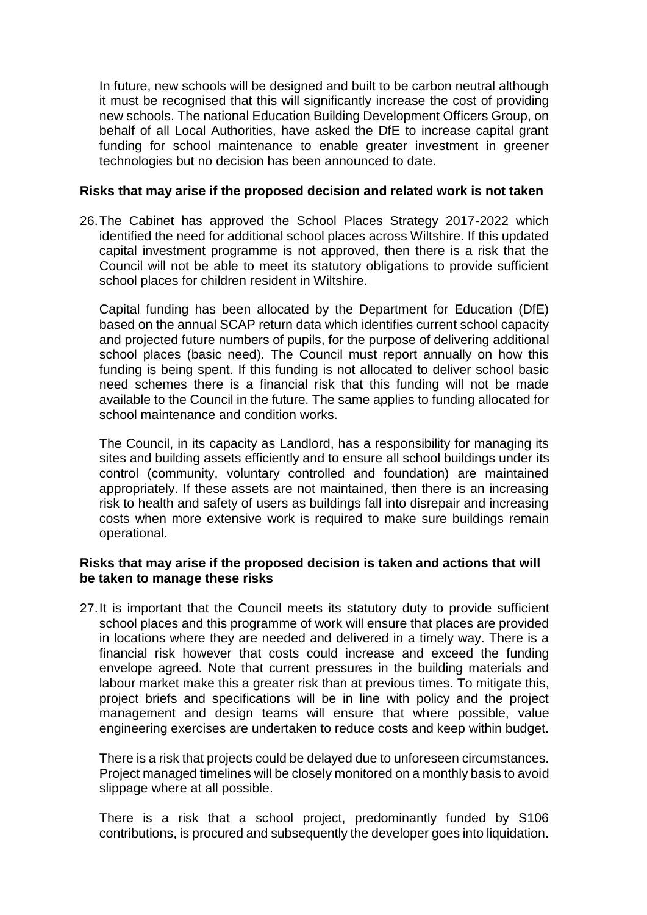In future, new schools will be designed and built to be carbon neutral although it must be recognised that this will significantly increase the cost of providing new schools. The national Education Building Development Officers Group, on behalf of all Local Authorities, have asked the DfE to increase capital grant funding for school maintenance to enable greater investment in greener technologies but no decision has been announced to date.

#### **Risks that may arise if the proposed decision and related work is not taken**

26.The Cabinet has approved the School Places Strategy 2017-2022 which identified the need for additional school places across Wiltshire. If this updated capital investment programme is not approved, then there is a risk that the Council will not be able to meet its statutory obligations to provide sufficient school places for children resident in Wiltshire.

Capital funding has been allocated by the Department for Education (DfE) based on the annual SCAP return data which identifies current school capacity and projected future numbers of pupils, for the purpose of delivering additional school places (basic need). The Council must report annually on how this funding is being spent. If this funding is not allocated to deliver school basic need schemes there is a financial risk that this funding will not be made available to the Council in the future. The same applies to funding allocated for school maintenance and condition works.

The Council, in its capacity as Landlord, has a responsibility for managing its sites and building assets efficiently and to ensure all school buildings under its control (community, voluntary controlled and foundation) are maintained appropriately. If these assets are not maintained, then there is an increasing risk to health and safety of users as buildings fall into disrepair and increasing costs when more extensive work is required to make sure buildings remain operational.

## **Risks that may arise if the proposed decision is taken and actions that will be taken to manage these risks**

27.It is important that the Council meets its statutory duty to provide sufficient school places and this programme of work will ensure that places are provided in locations where they are needed and delivered in a timely way. There is a financial risk however that costs could increase and exceed the funding envelope agreed. Note that current pressures in the building materials and labour market make this a greater risk than at previous times. To mitigate this, project briefs and specifications will be in line with policy and the project management and design teams will ensure that where possible, value engineering exercises are undertaken to reduce costs and keep within budget.

There is a risk that projects could be delayed due to unforeseen circumstances. Project managed timelines will be closely monitored on a monthly basis to avoid slippage where at all possible.

There is a risk that a school project, predominantly funded by S106 contributions, is procured and subsequently the developer goes into liquidation.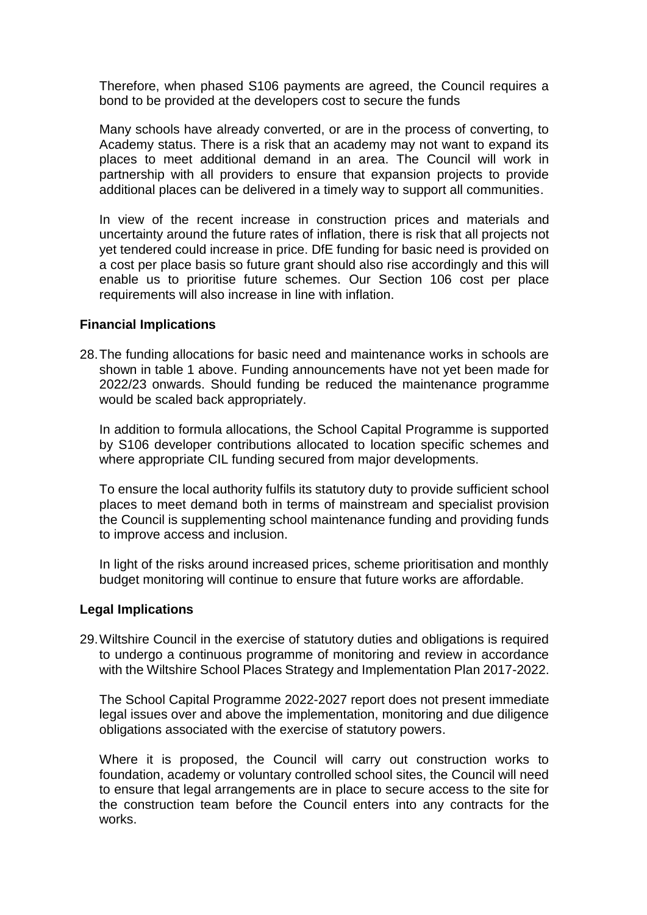Therefore, when phased S106 payments are agreed, the Council requires a bond to be provided at the developers cost to secure the funds

Many schools have already converted, or are in the process of converting, to Academy status. There is a risk that an academy may not want to expand its places to meet additional demand in an area. The Council will work in partnership with all providers to ensure that expansion projects to provide additional places can be delivered in a timely way to support all communities.

In view of the recent increase in construction prices and materials and uncertainty around the future rates of inflation, there is risk that all projects not yet tendered could increase in price. DfE funding for basic need is provided on a cost per place basis so future grant should also rise accordingly and this will enable us to prioritise future schemes. Our Section 106 cost per place requirements will also increase in line with inflation.

#### **Financial Implications**

28.The funding allocations for basic need and maintenance works in schools are shown in table 1 above. Funding announcements have not yet been made for 2022/23 onwards. Should funding be reduced the maintenance programme would be scaled back appropriately.

In addition to formula allocations, the School Capital Programme is supported by S106 developer contributions allocated to location specific schemes and where appropriate CIL funding secured from major developments.

To ensure the local authority fulfils its statutory duty to provide sufficient school places to meet demand both in terms of mainstream and specialist provision the Council is supplementing school maintenance funding and providing funds to improve access and inclusion.

In light of the risks around increased prices, scheme prioritisation and monthly budget monitoring will continue to ensure that future works are affordable.

## **Legal Implications**

29.Wiltshire Council in the exercise of statutory duties and obligations is required to undergo a continuous programme of monitoring and review in accordance with the Wiltshire School Places Strategy and Implementation Plan 2017-2022.

The School Capital Programme 2022-2027 report does not present immediate legal issues over and above the implementation, monitoring and due diligence obligations associated with the exercise of statutory powers.

Where it is proposed, the Council will carry out construction works to foundation, academy or voluntary controlled school sites, the Council will need to ensure that legal arrangements are in place to secure access to the site for the construction team before the Council enters into any contracts for the works.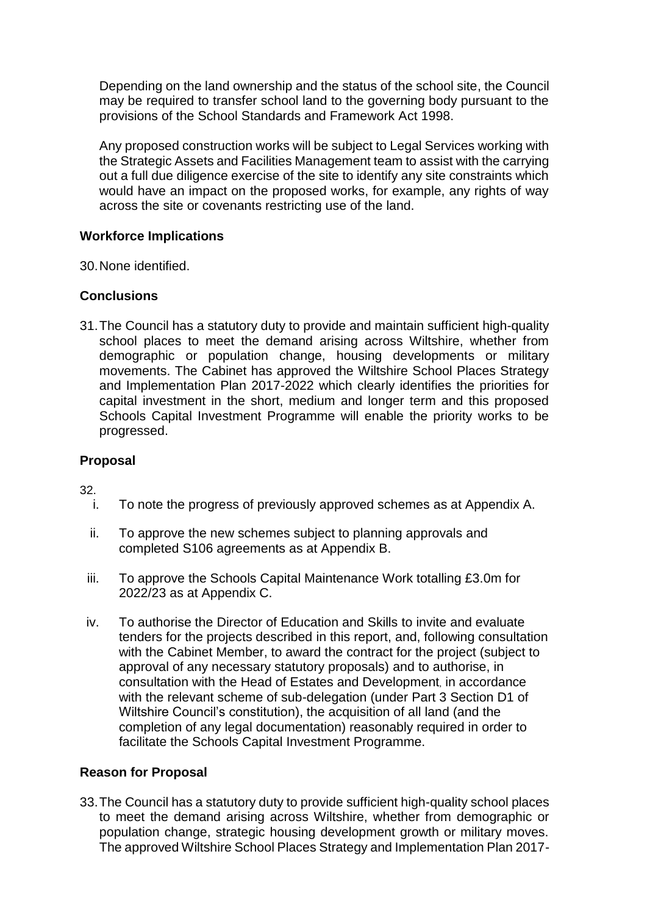Depending on the land ownership and the status of the school site, the Council may be required to transfer school land to the governing body pursuant to the provisions of the School Standards and Framework Act 1998.

Any proposed construction works will be subject to Legal Services working with the Strategic Assets and Facilities Management team to assist with the carrying out a full due diligence exercise of the site to identify any site constraints which would have an impact on the proposed works, for example, any rights of way across the site or covenants restricting use of the land.

# **Workforce Implications**

30.None identified.

# **Conclusions**

31.The Council has a statutory duty to provide and maintain sufficient high-quality school places to meet the demand arising across Wiltshire, whether from demographic or population change, housing developments or military movements. The Cabinet has approved the Wiltshire School Places Strategy and Implementation Plan 2017-2022 which clearly identifies the priorities for capital investment in the short, medium and longer term and this proposed Schools Capital Investment Programme will enable the priority works to be progressed.

# **Proposal**

32.

- i. To note the progress of previously approved schemes as at Appendix A.
- ii. To approve the new schemes subject to planning approvals and completed S106 agreements as at Appendix B.
- iii. To approve the Schools Capital Maintenance Work totalling £3.0m for 2022/23 as at Appendix C.
- iv. To authorise the Director of Education and Skills to invite and evaluate tenders for the projects described in this report, and, following consultation with the Cabinet Member, to award the contract for the project (subject to approval of any necessary statutory proposals) and to authorise, in consultation with the Head of Estates and Development, in accordance with the relevant scheme of sub-delegation (under Part 3 Section D1 of Wiltshire Council's constitution), the acquisition of all land (and the completion of any legal documentation) reasonably required in order to facilitate the Schools Capital Investment Programme.

## **Reason for Proposal**

33.The Council has a statutory duty to provide sufficient high-quality school places to meet the demand arising across Wiltshire, whether from demographic or population change, strategic housing development growth or military moves. The approved Wiltshire School Places Strategy and Implementation Plan 2017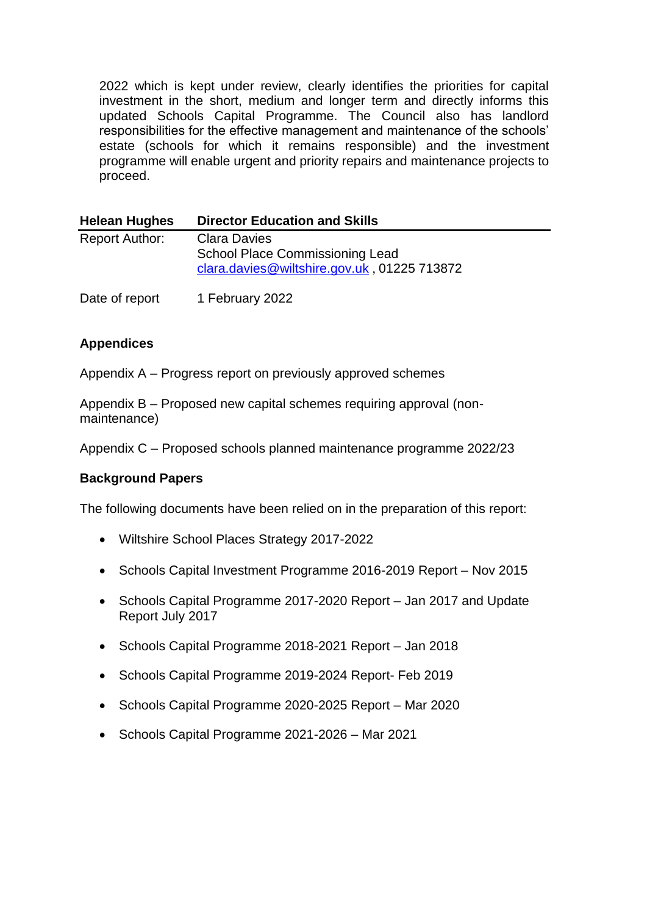2022 which is kept under review, clearly identifies the priorities for capital investment in the short, medium and longer term and directly informs this updated Schools Capital Programme. The Council also has landlord responsibilities for the effective management and maintenance of the schools' estate (schools for which it remains responsible) and the investment programme will enable urgent and priority repairs and maintenance projects to proceed.

| <b>Helean Hughes</b>  | <b>Director Education and Skills</b>                                                                         |
|-----------------------|--------------------------------------------------------------------------------------------------------------|
| <b>Report Author:</b> | <b>Clara Davies</b><br><b>School Place Commissioning Lead</b><br>clara.davies@wiltshire.gov.uk, 01225 713872 |
| Date of report        | 1 February 2022                                                                                              |

# **Appendices**

Appendix A – Progress report on previously approved schemes

Appendix B – Proposed new capital schemes requiring approval (nonmaintenance)

Appendix C – Proposed schools planned maintenance programme 2022/23

## **Background Papers**

The following documents have been relied on in the preparation of this report:

- Wiltshire School Places Strategy 2017-2022
- Schools Capital Investment Programme 2016-2019 Report Nov 2015
- Schools Capital Programme 2017-2020 Report Jan 2017 and Update Report July 2017
- Schools Capital Programme 2018-2021 Report Jan 2018
- Schools Capital Programme 2019-2024 Report- Feb 2019
- Schools Capital Programme 2020-2025 Report Mar 2020
- Schools Capital Programme 2021-2026 Mar 2021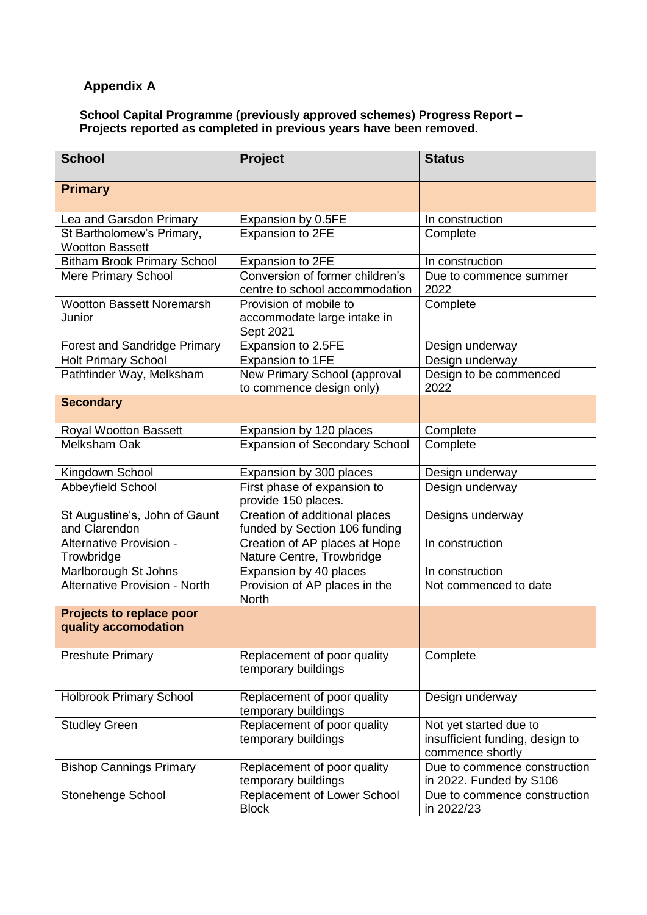# **Appendix A**

#### **School Capital Programme (previously approved schemes) Progress Report – Projects reported as completed in previous years have been removed.**

| <b>School</b>                                       | Project                                                            | <b>Status</b>                                                                 |
|-----------------------------------------------------|--------------------------------------------------------------------|-------------------------------------------------------------------------------|
| <b>Primary</b>                                      |                                                                    |                                                                               |
| Lea and Garsdon Primary                             | Expansion by 0.5FE                                                 | In construction                                                               |
| St Bartholomew's Primary,<br><b>Wootton Bassett</b> | Expansion to 2FE                                                   | Complete                                                                      |
| <b>Bitham Brook Primary School</b>                  | Expansion to 2FE                                                   | In construction                                                               |
| Mere Primary School                                 | Conversion of former children's<br>centre to school accommodation  | Due to commence summer<br>2022                                                |
| <b>Wootton Bassett Noremarsh</b><br>Junior          | Provision of mobile to<br>accommodate large intake in<br>Sept 2021 | Complete                                                                      |
| <b>Forest and Sandridge Primary</b>                 | Expansion to 2.5FE                                                 | Design underway                                                               |
| <b>Holt Primary School</b>                          | Expansion to 1FE                                                   | Design underway                                                               |
| Pathfinder Way, Melksham                            | New Primary School (approval<br>to commence design only)           | Design to be commenced<br>2022                                                |
| <b>Secondary</b>                                    |                                                                    |                                                                               |
| Royal Wootton Bassett                               | Expansion by 120 places                                            | Complete                                                                      |
| <b>Melksham Oak</b>                                 | <b>Expansion of Secondary School</b>                               | Complete                                                                      |
| Kingdown School                                     | Expansion by 300 places                                            | Design underway                                                               |
| <b>Abbeyfield School</b>                            | First phase of expansion to<br>provide 150 places.                 | Design underway                                                               |
| St Augustine's, John of Gaunt<br>and Clarendon      | Creation of additional places<br>funded by Section 106 funding     | Designs underway                                                              |
| Alternative Provision -<br>Trowbridge               | Creation of AP places at Hope<br>Nature Centre, Trowbridge         | In construction                                                               |
| Marlborough St Johns                                | Expansion by 40 places                                             | In construction                                                               |
| <b>Alternative Provision - North</b>                | Provision of AP places in the<br><b>North</b>                      | Not commenced to date                                                         |
| Projects to replace poor<br>quality accomodation    |                                                                    |                                                                               |
| <b>Preshute Primary</b>                             | Replacement of poor quality<br>temporary buildings                 | Complete                                                                      |
| <b>Holbrook Primary School</b>                      | Replacement of poor quality<br>temporary buildings                 | Design underway                                                               |
| <b>Studley Green</b>                                | Replacement of poor quality<br>temporary buildings                 | Not yet started due to<br>insufficient funding, design to<br>commence shortly |
| <b>Bishop Cannings Primary</b>                      | Replacement of poor quality<br>temporary buildings                 | Due to commence construction<br>in 2022. Funded by S106                       |
| Stonehenge School                                   | Replacement of Lower School<br><b>Block</b>                        | Due to commence construction<br>in 2022/23                                    |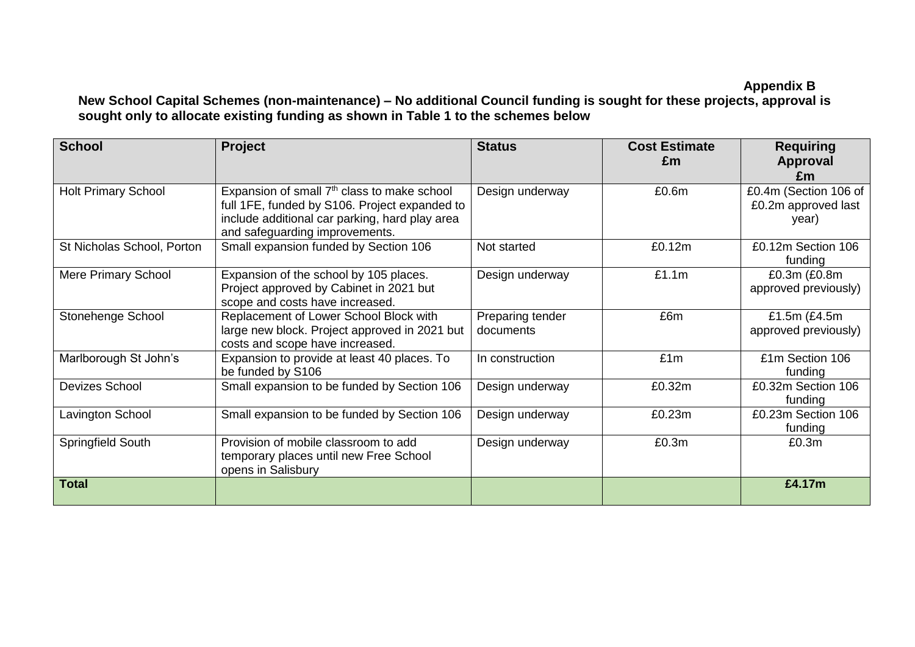# **Appendix B**

# **New School Capital Schemes (non-maintenance) – No additional Council funding is sought for these projects, approval is sought only to allocate existing funding as shown in Table 1 to the schemes below**

| <b>School</b>              | <b>Project</b>                                                                                                                                                                               | <b>Status</b>                 | <b>Cost Estimate</b><br>£m | <b>Requiring</b><br>Approval<br>£m                    |
|----------------------------|----------------------------------------------------------------------------------------------------------------------------------------------------------------------------------------------|-------------------------------|----------------------------|-------------------------------------------------------|
| <b>Holt Primary School</b> | Expansion of small 7 <sup>th</sup> class to make school<br>full 1FE, funded by S106. Project expanded to<br>include additional car parking, hard play area<br>and safeguarding improvements. | Design underway               | £0.6m                      | £0.4m (Section 106 of<br>£0.2m approved last<br>year) |
| St Nicholas School, Porton | Small expansion funded by Section 106                                                                                                                                                        | Not started                   | £0.12m                     | £0.12m Section 106<br>funding                         |
| <b>Mere Primary School</b> | Expansion of the school by 105 places.<br>Project approved by Cabinet in 2021 but<br>scope and costs have increased.                                                                         | Design underway               | £1.1m                      | £0.3m (£0.8m<br>approved previously)                  |
| Stonehenge School          | Replacement of Lower School Block with<br>large new block. Project approved in 2021 but<br>costs and scope have increased.                                                                   | Preparing tender<br>documents | £6m                        | £1.5 $m$ (£4.5 $m$<br>approved previously)            |
| Marlborough St John's      | Expansion to provide at least 40 places. To<br>be funded by S106                                                                                                                             | In construction               | £1m                        | £1m Section 106<br>funding                            |
| <b>Devizes School</b>      | Small expansion to be funded by Section 106                                                                                                                                                  | Design underway               | £0.32m                     | £0.32m Section 106<br>funding                         |
| Lavington School           | Small expansion to be funded by Section 106                                                                                                                                                  | Design underway               | £0.23m                     | £0.23m Section 106<br>funding                         |
| Springfield South          | Provision of mobile classroom to add<br>temporary places until new Free School<br>opens in Salisbury                                                                                         | Design underway               | £0.3m                      | £0.3m                                                 |
| <b>Total</b>               |                                                                                                                                                                                              |                               |                            | £4.17m                                                |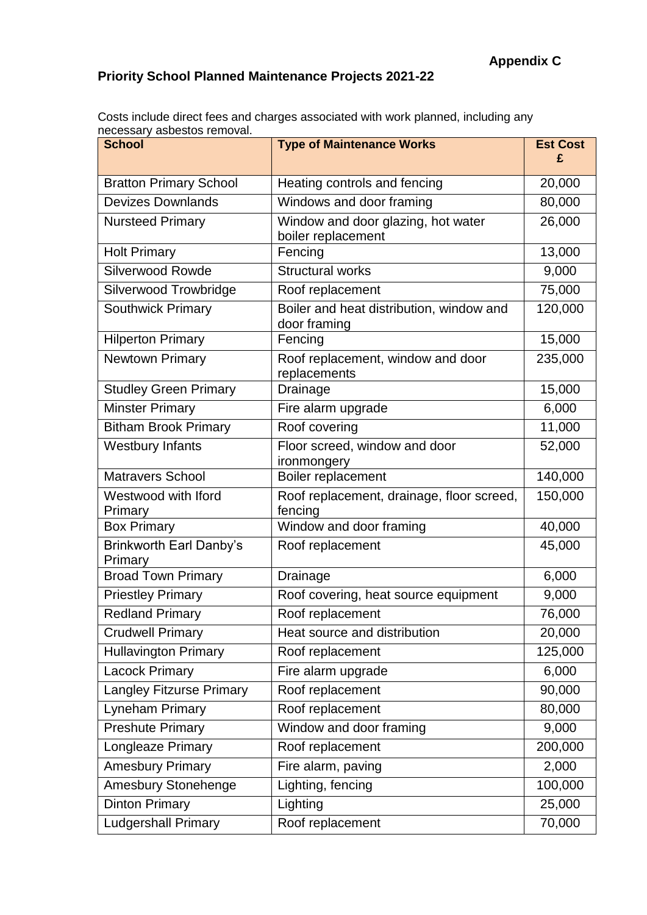# **Priority School Planned Maintenance Projects 2021-22**

Costs include direct fees and charges associated with work planned, including any necessary asbestos removal.

| nooooodi y dobootoo romovali.<br><b>School</b> | <b>Type of Maintenance Works</b>                         | <b>Est Cost</b><br>£ |
|------------------------------------------------|----------------------------------------------------------|----------------------|
| <b>Bratton Primary School</b>                  | Heating controls and fencing                             | 20,000               |
| <b>Devizes Downlands</b>                       | Windows and door framing                                 | 80,000               |
| <b>Nursteed Primary</b>                        | Window and door glazing, hot water<br>boiler replacement | 26,000               |
| <b>Holt Primary</b>                            | Fencing                                                  | 13,000               |
| <b>Silverwood Rowde</b>                        | <b>Structural works</b>                                  | 9,000                |
| Silverwood Trowbridge                          | Roof replacement                                         | 75,000               |
| <b>Southwick Primary</b>                       | Boiler and heat distribution, window and<br>door framing | 120,000              |
| <b>Hilperton Primary</b>                       | Fencing                                                  | 15,000               |
| <b>Newtown Primary</b>                         | Roof replacement, window and door<br>replacements        | 235,000              |
| <b>Studley Green Primary</b>                   | Drainage                                                 | 15,000               |
| <b>Minster Primary</b>                         | Fire alarm upgrade                                       | 6,000                |
| <b>Bitham Brook Primary</b>                    | Roof covering                                            | 11,000               |
| <b>Westbury Infants</b>                        | Floor screed, window and door<br>ironmongery             | 52,000               |
| <b>Matravers School</b>                        | Boiler replacement                                       | 140,000              |
| Westwood with Iford<br>Primary                 | Roof replacement, drainage, floor screed,<br>fencing     | 150,000              |
| <b>Box Primary</b>                             | Window and door framing                                  | 40,000               |
| Brinkworth Earl Danby's<br>Primary             | Roof replacement                                         | 45,000               |
| <b>Broad Town Primary</b>                      | Drainage                                                 | 6,000                |
| <b>Priestley Primary</b>                       | Roof covering, heat source equipment                     | 9,000                |
| <b>Redland Primary</b>                         | Roof replacement                                         | 76,000               |
| <b>Crudwell Primary</b>                        | Heat source and distribution                             | 20,000               |
| <b>Hullavington Primary</b>                    | Roof replacement                                         | 125,000              |
| <b>Lacock Primary</b>                          | Fire alarm upgrade                                       | 6,000                |
| <b>Langley Fitzurse Primary</b>                | Roof replacement                                         | 90,000               |
| Lyneham Primary                                | Roof replacement                                         | 80,000               |
| <b>Preshute Primary</b>                        | Window and door framing                                  | 9,000                |
| Longleaze Primary                              | Roof replacement                                         | 200,000              |
| <b>Amesbury Primary</b>                        | Fire alarm, paving                                       | 2,000                |
| Amesbury Stonehenge                            | Lighting, fencing                                        | 100,000              |
| <b>Dinton Primary</b>                          | Lighting                                                 | 25,000               |
| <b>Ludgershall Primary</b>                     | Roof replacement                                         | 70,000               |